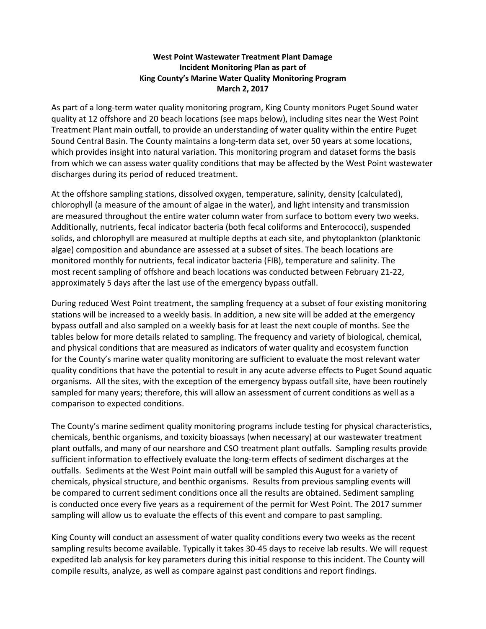## **West Point Wastewater Treatment Plant Damage Incident Monitoring Plan as part of King County's Marine Water Quality Monitoring Program March 2, 2017**

As part of a long-term water quality monitoring program, King County monitors Puget Sound water quality at 12 offshore and 20 beach locations (see maps below), including sites near the West Point Treatment Plant main outfall, to provide an understanding of water quality within the entire Puget Sound Central Basin. The County maintains a long-term data set, over 50 years at some locations, which provides insight into natural variation. This monitoring program and dataset forms the basis from which we can assess water quality conditions that may be affected by the West Point wastewater discharges during its period of reduced treatment.

At the offshore sampling stations, dissolved oxygen, temperature, salinity, density (calculated), chlorophyll (a measure of the amount of algae in the water), and light intensity and transmission are measured throughout the entire water column water from surface to bottom every two weeks. Additionally, nutrients, fecal indicator bacteria (both fecal coliforms and Enterococci), suspended solids, and chlorophyll are measured at multiple depths at each site, and phytoplankton (planktonic algae) composition and abundance are assessed at a subset of sites. The beach locations are monitored monthly for nutrients, fecal indicator bacteria (FIB), temperature and salinity. The most recent sampling of offshore and beach locations was conducted between February 21-22, approximately 5 days after the last use of the emergency bypass outfall.

During reduced West Point treatment, the sampling frequency at a subset of four existing monitoring stations will be increased to a weekly basis. In addition, a new site will be added at the emergency bypass outfall and also sampled on a weekly basis for at least the next couple of months. See the tables below for more details related to sampling. The frequency and variety of biological, chemical, and physical conditions that are measured as indicators of water quality and ecosystem function for the County's marine water quality monitoring are sufficient to evaluate the most relevant water quality conditions that have the potential to result in any acute adverse effects to Puget Sound aquatic organisms. All the sites, with the exception of the emergency bypass outfall site, have been routinely sampled for many years; therefore, this will allow an assessment of current conditions as well as a comparison to expected conditions.

The County's marine sediment quality monitoring programs include testing for physical characteristics, chemicals, benthic organisms, and toxicity bioassays (when necessary) at our wastewater treatment plant outfalls, and many of our nearshore and CSO treatment plant outfalls. Sampling results provide sufficient information to effectively evaluate the long-term effects of sediment discharges at the outfalls. Sediments at the West Point main outfall will be sampled this August for a variety of chemicals, physical structure, and benthic organisms. Results from previous sampling events will be compared to current sediment conditions once all the results are obtained. Sediment sampling is conducted once every five years as a requirement of the permit for West Point. The 2017 summer sampling will allow us to evaluate the effects of this event and compare to past sampling.

King County will conduct an assessment of water quality conditions every two weeks as the recent sampling results become available. Typically it takes 30-45 days to receive lab results. We will request expedited lab analysis for key parameters during this initial response to this incident. The County will compile results, analyze, as well as compare against past conditions and report findings.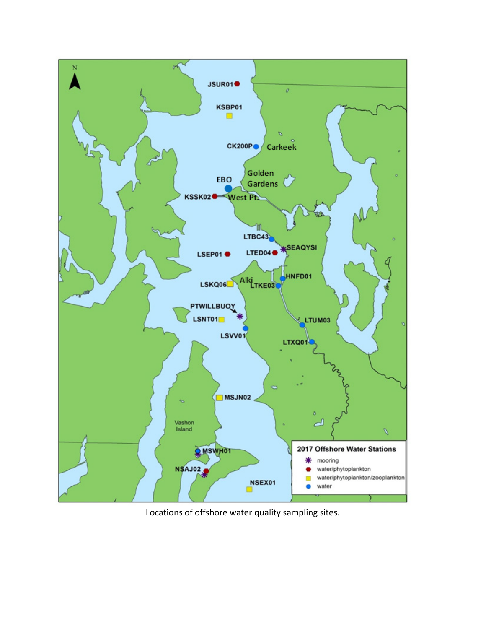

Locations of offshore water quality sampling sites.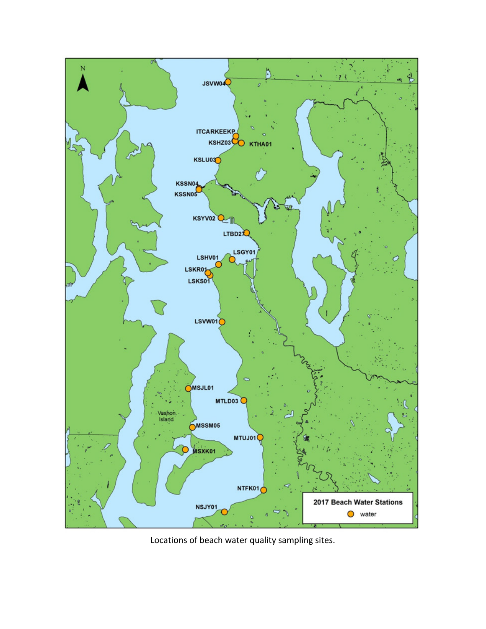

Locations of beach water quality sampling sites.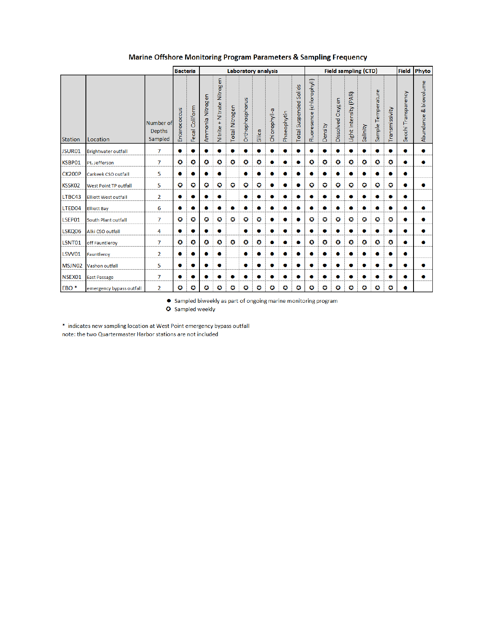|                  |                             |                                       | <b>Bacteria</b><br>Laboratory analysis |                                |                  | <b>Field sampling (CTD)</b>      |                |                 |        |               |             | <b>Field</b>              | Phyto                     |         |                     |                       |           |                    |                |                     |                          |
|------------------|-----------------------------|---------------------------------------|----------------------------------------|--------------------------------|------------------|----------------------------------|----------------|-----------------|--------|---------------|-------------|---------------------------|---------------------------|---------|---------------------|-----------------------|-----------|--------------------|----------------|---------------------|--------------------------|
| <b>Station</b>   | Location                    | Number of<br><b>Depths</b><br>Sampled | Enterococcus                           | Coliform<br>Fecal <sup>1</sup> | Ammonia Nitrogen | Nitrogen<br>Nitrate<br>Nitrite + | Total Nitrogen | Orthophosphorus | Silica | Chlorophyll-a | Phaeophytin | Solids<br>Total Suspended | Fluoresence (chlorophyll) | Density | Oxygen<br>Dissolved | Light Intensity (PAR) | Salinity  | Sample Temperature | Transmissivity | Secchi Transparency | & biovolume<br>Abundance |
| JSUR01           | <b>Brightwater outfall</b>  | $\overline{7}$                        |                                        | ۰                              | ۰                |                                  | ٠              | ۰               |        | ۰             | $\bullet$   |                           | ۰                         |         |                     | ۰                     |           | $\bullet$          | ٠              | ۰                   | ۰                        |
| KSBP01           | Pt. Jefferson               | $\overline{7}$                        | o                                      | o                              | o                | o                                | O              | o               | o      | ۰             | $\bullet$   |                           | o                         | o       | o                   | o                     | o         | o                  | $\bullet$      | ۰                   | ۰                        |
| CK200P           | Carkeek CSO outfall         | 5                                     | 0                                      | ۰                              | ۰                |                                  |                | ۰               |        | ۰             | $\bullet$   |                           | ۰                         |         | Ω                   | ۰                     |           | ●                  | ●              | ۰                   |                          |
| KSSK02           | West Point TP outfall       | 5                                     | o                                      | $\bullet$                      | o                | O                                | o              | O               | o      | 0             | ۰           |                           | O                         | o       | o                   | o                     | o         | o                  | O              | 0                   | 0                        |
| LTBC43           | <b>Elliott West outfall</b> | $\overline{2}$                        | o                                      | ۰                              | ۰                |                                  |                | ۰               |        | ۰             | $\bullet$   |                           | ۰                         | Ω       | Ω                   | ۰                     | Ω         | ۰                  | ٠              | ۰                   |                          |
| LTED04           | <b>Elliott Bay</b>          | 6                                     |                                        | ۰                              |                  |                                  | ۰              | ۰               |        |               | ٠           | c                         | ۰                         | 0       | ۰                   | ۰                     |           | ۰                  | ٠              | ۰                   | ۰                        |
| LSEP01           | <b>South Plant outfall</b>  | $\overline{7}$                        | o                                      | o                              | o                | o                                | o              | o               | o      | ۰             | $\bullet$   | ●                         | O                         | o       | o                   | O                     | o         | o                  | o              | ۰                   | ۰                        |
| LSKQ06           | Alki CSO outfall            | 4                                     |                                        |                                |                  |                                  |                | ۰               |        |               |             |                           | ٠                         |         |                     |                       |           |                    | ●              | 0                   | ۰                        |
| LSNT01           | off Fauntleroy              | $\overline{7}$                        | O                                      | O                              | O                | o                                | O              | Ø               | o      | ۰             | $\bullet$   |                           | O                         | o       | o                   | o                     | o         | o                  | O              | $\bullet$           | ۰                        |
| LSVV01           | Fauntleroy                  | $\overline{2}$                        |                                        | ٠                              |                  | ۰                                |                | ۰               |        | ٠             |             |                           | ۰                         |         |                     | ۰                     |           |                    | ٠              | ۰                   |                          |
| MSJN02           | Vashon outfall              | 5                                     |                                        | ۰                              |                  |                                  |                | ۰               |        | 0             | $\bullet$   |                           | ۰                         |         |                     | 0                     |           |                    | ۰              |                     |                          |
| NSEX01           | <b>East Passage</b>         | 7                                     |                                        |                                |                  |                                  |                |                 |        | ۰             |             |                           |                           |         |                     |                       |           |                    |                | 0                   |                          |
| EBO <sup>*</sup> | emergency bypass outfall    | $\overline{2}$                        | o                                      | ø                              | o                | o                                | o              | $\bullet$       | o      | o             | Ø           | $\bullet$                 | $\bullet$                 | o       | $\bullet$           | ø                     | $\bullet$ | O                  | $\bullet$      | ۰                   |                          |

## Marine Offshore Monitoring Program Parameters & Sampling Frequency

 $\bullet$  Sampled biweekly as part of ongoing marine monitoring program  $\bullet$  Sampled weekly

\* indicates new sampling location at West Point emergency bypass outfall note: the two Quartermaster Harbor stations are not included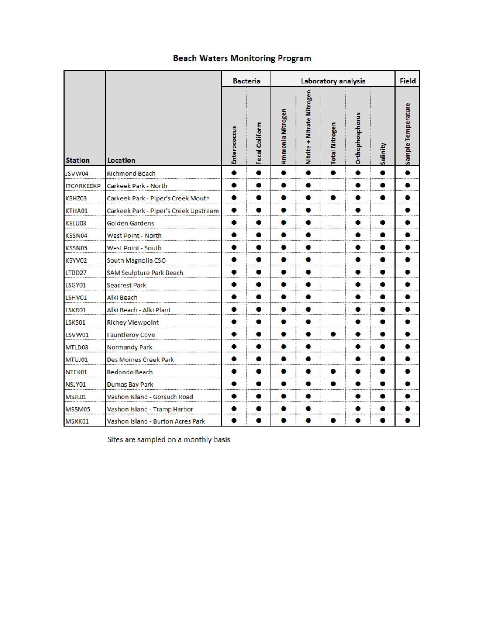## **Beach Waters Monitoring Program**

|                   |                                       |              | <b>Bacteria</b> |                  | <b>Field</b>               |                       |                 |          |                    |
|-------------------|---------------------------------------|--------------|-----------------|------------------|----------------------------|-----------------------|-----------------|----------|--------------------|
| <b>Station</b>    | <b>Location</b>                       | Enterococcus | Fecal Coliform  | Ammonia Nitrogen | Nitrite + Nitrate Nitrogen | <b>Total Nitrogen</b> | Orthophosphorus | Salinity | Sample Temperature |
| JSVW04            | <b>Richmond Beach</b>                 | ۰            | ۰               | $\bullet$        | ۰                          | $\bullet$             | $\bullet$       | ۰        | $\bullet$          |
| <b>ITCARKEEKP</b> | Carkeek Park - North                  |              |                 |                  | 0                          |                       |                 |          |                    |
| KSHZ03            | Carkeek Park - Piper's Creek Mouth    | ۰            | ۰               | 0                | 0                          | ۰                     | ۰               | ۰        |                    |
| KTHA01            | Carkeek Park - Piper's Creek Upstream |              |                 |                  |                            |                       | 0               |          |                    |
| KSLU03            | <b>Golden Gardens</b>                 | ۰            |                 | o                | 0                          |                       | 0               | o        |                    |
| KSSN04            | West Point - North                    | 0            |                 | 0                | 0                          |                       |                 |          |                    |
| KSSN05            | West Point - South                    |              |                 |                  |                            |                       | 0               |          |                    |
| KSYV02            | South Magnolia CSO                    | ۰            |                 | 0                | ۰                          |                       | ۰               |          |                    |
| LTBD27            | SAM Sculpture Park Beach              |              |                 |                  |                            |                       | 0               |          |                    |
| LSGY01            | <b>Seacrest Park</b>                  | 0            |                 | ο                | 0                          |                       | 0               | 0        |                    |
| LSHV01            | Alki Beach                            |              |                 | o                | 0                          |                       |                 |          |                    |
| LSKR01            | Alki Beach - Alki Plant               |              |                 | 0                | 0                          |                       | 0               |          |                    |
| LSKS01            | <b>Richey Viewpoint</b>               | 0            |                 | ۰                | ۰                          |                       |                 | 0        | 0                  |
| LSVW01            | <b>Fauntleroy Cove</b>                |              |                 |                  |                            |                       |                 |          |                    |
| MTLD03            | <b>Normandy Park</b>                  | ۰            |                 | o                | 0                          |                       | 0               |          |                    |
| MTUJ01            | Des Moines Creek Park                 | o            |                 | 0                | 0                          |                       | 0               |          |                    |
| NTFK01            | Redondo Beach                         | 0            |                 | 0                | 0                          | ۰                     | ۰               |          |                    |
| NSJY01            | Dumas Bay Park                        |              |                 | 0                | 0                          | ۰                     |                 |          |                    |
| MSJL01            | Vashon Island - Gorsuch Road          |              |                 |                  | 0                          |                       | 0               |          |                    |
| MSSM05            | Vashon Island - Tramp Harbor          | 0            |                 | 0                | 0                          |                       | 0               |          |                    |
| MSXK01            | Vashon Island - Burton Acres Park     |              |                 |                  |                            |                       |                 |          |                    |

Sites are sampled on a monthly basis